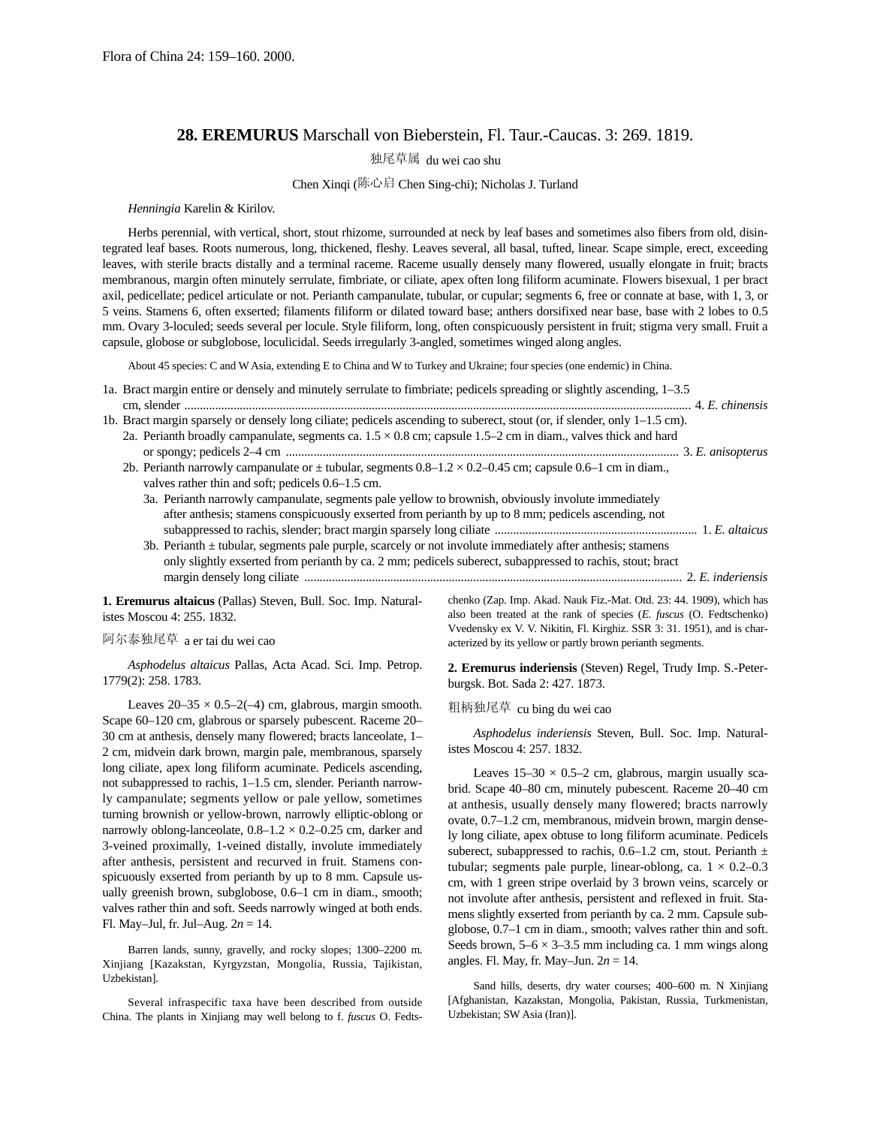# **28. EREMURUS** Marschall von Bieberstein, Fl. Taur.-Caucas. 3: 269. 1819.

独尾草属 du wei cao shu

#### Chen Xinqi (陈心启 Chen Sing-chi); Nicholas J. Turland

#### *Henningia* Karelin & Kirilov.

Herbs perennial, with vertical, short, stout rhizome, surrounded at neck by leaf bases and sometimes also fibers from old, disintegrated leaf bases. Roots numerous, long, thickened, fleshy. Leaves several, all basal, tufted, linear. Scape simple, erect, exceeding leaves, with sterile bracts distally and a terminal raceme. Raceme usually densely many flowered, usually elongate in fruit; bracts membranous, margin often minutely serrulate, fimbriate, or ciliate, apex often long filiform acuminate. Flowers bisexual, 1 per bract axil, pedicellate; pedicel articulate or not. Perianth campanulate, tubular, or cupular; segments 6, free or connate at base, with 1, 3, or 5 veins. Stamens 6, often exserted; filaments filiform or dilated toward base; anthers dorsifixed near base, base with 2 lobes to 0.5 mm. Ovary 3-loculed; seeds several per locule. Style filiform, long, often conspicuously persistent in fruit; stigma very small. Fruit a capsule, globose or subglobose, loculicidal. Seeds irregularly 3-angled, sometimes winged along angles.

About 45 species: C and W Asia, extending E to China and W to Turkey and Ukraine; four species (one endemic) in China.

| 1a. Bract margin entire or densely and minutely serrulate to fimbriate; pedicels spreading or slightly ascending, 1–3.5   |  |
|---------------------------------------------------------------------------------------------------------------------------|--|
|                                                                                                                           |  |
| 1b. Bract margin sparsely or densely long ciliate; pedicels ascending to suberect, stout (or, if slender, only 1–1.5 cm). |  |
| 2a. Perianth broadly campanulate, segments ca. $1.5 \times 0.8$ cm; capsule 1.5–2 cm in diam., valves thick and hard      |  |
|                                                                                                                           |  |
| 2b. Perianth narrowly campanulate or $\pm$ tubular, segments $0.8-1.2 \times 0.2-0.45$ cm; capsule 0.6-1 cm in diam.,     |  |
| valves rather thin and soft; pedicels 0.6-1.5 cm.                                                                         |  |
| 3a. Perianth narrowly campanulate, segments pale yellow to brownish, obviously involute immediately                       |  |
| after anthesis; stamens conspicuously exserted from perianth by up to 8 mm; pedicels ascending, not                       |  |
|                                                                                                                           |  |
| 3b. Perianth $\pm$ tubular, segments pale purple, scarcely or not involute immediately after anthesis; staments           |  |
| only slightly exserted from perianth by ca. 2 mm; pedicels suberect, subappressed to rachis, stout; bract                 |  |
|                                                                                                                           |  |
|                                                                                                                           |  |

**1. Eremurus altaicus** (Pallas) Steven, Bull. Soc. Imp. Naturalistes Moscou 4: 255. 1832.

# 阿尔泰独尾草 a er tai du wei cao

*Asphodelus altaicus* Pallas, Acta Acad. Sci. Imp. Petrop. 1779(2): 258. 1783.

Leaves  $20-35 \times 0.5-2(-4)$  cm, glabrous, margin smooth. Scape 60–120 cm, glabrous or sparsely pubescent. Raceme 20– 30 cm at anthesis, densely many flowered; bracts lanceolate, 1– 2 cm, midvein dark brown, margin pale, membranous, sparsely long ciliate, apex long filiform acuminate. Pedicels ascending, not subappressed to rachis, 1–1.5 cm, slender. Perianth narrowly campanulate; segments yellow or pale yellow, sometimes turning brownish or yellow-brown, narrowly elliptic-oblong or narrowly oblong-lanceolate,  $0.8-1.2 \times 0.2-0.25$  cm, darker and 3-veined proximally, 1-veined distally, involute immediately after anthesis, persistent and recurved in fruit. Stamens conspicuously exserted from perianth by up to 8 mm. Capsule usually greenish brown, subglobose, 0.6–1 cm in diam., smooth; valves rather thin and soft. Seeds narrowly winged at both ends. Fl. May–Jul, fr. Jul–Aug. 2*n* = 14.

Barren lands, sunny, gravelly, and rocky slopes; 1300–2200 m. Xinjiang [Kazakstan, Kyrgyzstan, Mongolia, Russia, Tajikistan, Uzbekistan].

Several infraspecific taxa have been described from outside China. The plants in Xinjiang may well belong to f. *fuscus* O. Fedtschenko (Zap. Imp. Akad. Nauk Fiz.-Mat. Otd. 23: 44. 1909), which has also been treated at the rank of species (*E. fuscus* (O. Fedtschenko) Vvedensky ex V. V. Nikitin, Fl. Kirghiz. SSR 3: 31. 1951), and is characterized by its yellow or partly brown perianth segments.

**2. Eremurus inderiensis** (Steven) Regel, Trudy Imp. S.-Peterburgsk. Bot. Sada 2: 427. 1873.

# 粗柄独尾草 cu bing du wei cao

*Asphodelus inderiensis* Steven, Bull. Soc. Imp. Naturalistes Moscou 4: 257. 1832.

Leaves  $15-30 \times 0.5-2$  cm, glabrous, margin usually scabrid. Scape 40–80 cm, minutely pubescent. Raceme 20–40 cm at anthesis, usually densely many flowered; bracts narrowly ovate, 0.7–1.2 cm, membranous, midvein brown, margin densely long ciliate, apex obtuse to long filiform acuminate. Pedicels suberect, subappressed to rachis, 0.6–1.2 cm, stout. Perianth  $\pm$ tubular; segments pale purple, linear-oblong, ca.  $1 \times 0.2{\text -}0.3$ cm, with 1 green stripe overlaid by 3 brown veins, scarcely or not involute after anthesis, persistent and reflexed in fruit. Stamens slightly exserted from perianth by ca. 2 mm. Capsule subglobose, 0.7–1 cm in diam., smooth; valves rather thin and soft. Seeds brown,  $5-6 \times 3-3.5$  mm including ca. 1 mm wings along angles. Fl. May, fr. May–Jun. 2*n* = 14.

Sand hills, deserts, dry water courses; 400–600 m. N Xinjiang [Afghanistan, Kazakstan, Mongolia, Pakistan, Russia, Turkmenistan, Uzbekistan; SW Asia (Iran)].